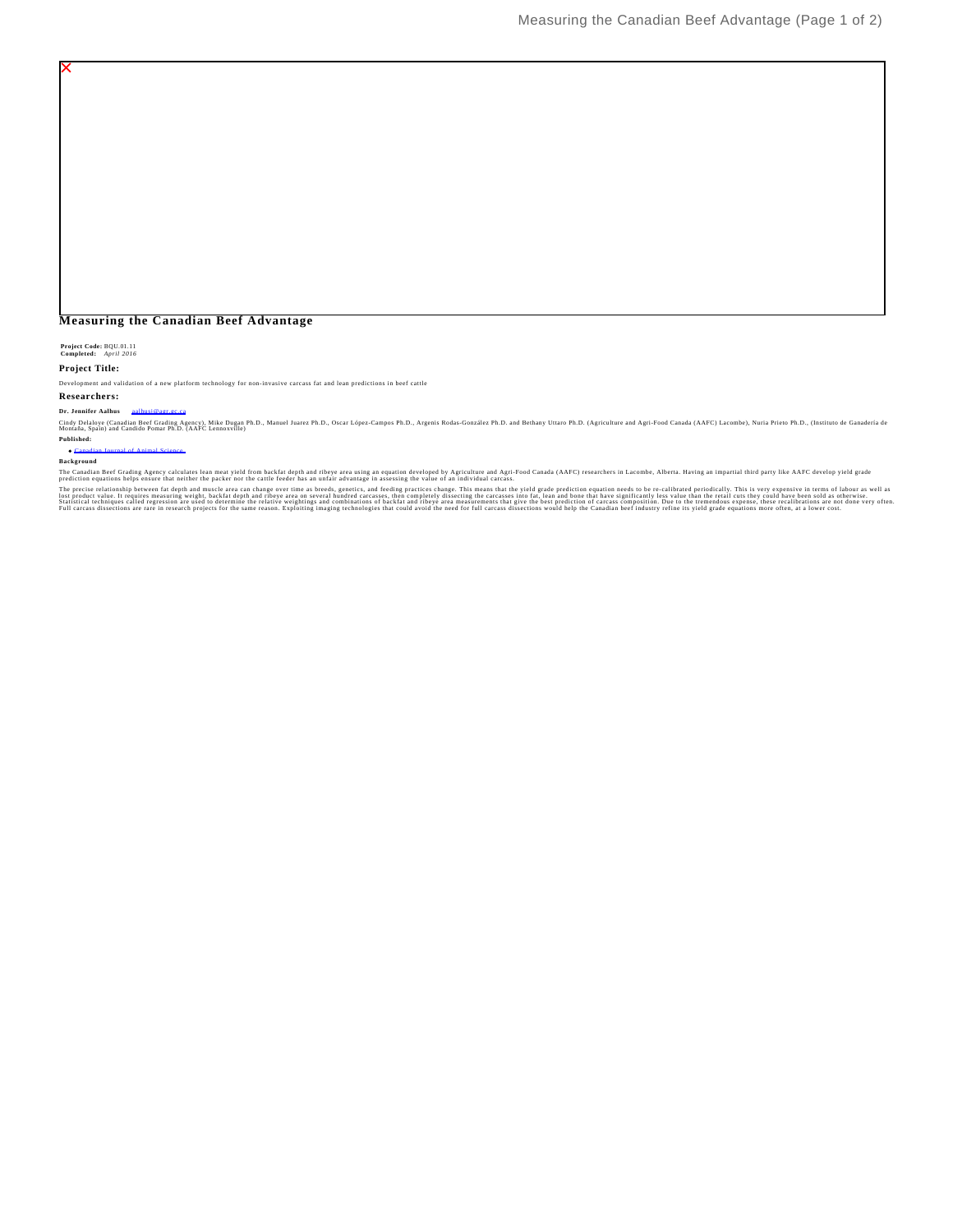# **Measuring the Canadian Beef Advantage**

**Project Code:** BQU.01.11 **Completed:** *April 2016*

# **Project Title:**

Development and validation of a new platform technology for non-invasive carcass fat and lean predictions in beef cattle

# **Researchers:**

**Dr. Jennifer Aalhus** aa

Cindy Delaye (Canadia Beef Grading Agency), Mix Dugan Ph.D., Manuel Juarez Ph.D., Oscar López-Campos Ph.D., Argenis Rodas-González Ph.D. and Bethany Uttaro Ph.D. (Agriculture and Agri-Food Canada (AAFC) Lacombe), Nuria Pri **Published:**

#### Canadian Journal of Animal Science

**Background**

The Canadian Beef Gradium states hean meat yield from backfa depth and ribeye area using an equation developed by Agriculture and Agri-Food Canada (AAFC) researchers in Lacombe, Alberta. Having an impartial third party lik

The precise relationship between fat depth and muscle area can change over time as breeds, genetics, and feeding practics changed in the successes, the completely dissecting the acreases into fat, lean and bone that have s